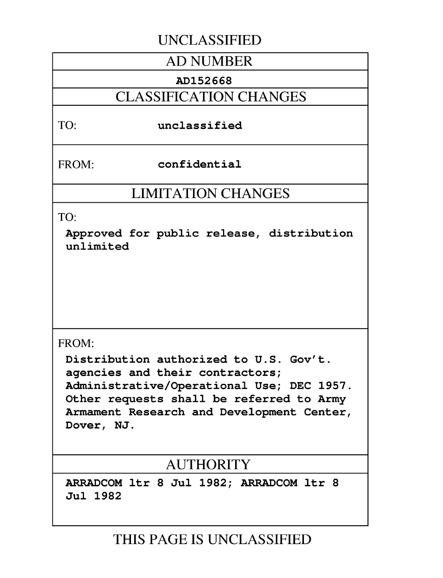## **UNCLASSIFIED**

## **AD NUMBER**

## **AD152668**

## **CLASSIFICATION CHANGES**

## TO: unclassified

FROM: confidential

## **LIMITATION CHANGES**

TO:

Approved for public release, distribution unlimited

## FROM:

Distribution authorized to **U.S.** Gov't. agencies and their contractors; Administrative/Operational Use; **DEC 1957.** Other requests shall be referred to Army Armament Research and Development Center, Dover, **NJ.**

## **AUTHORITY**

ARRADCOM ltr **8** Jul **1982;** ARRADCOM ltr **8** Jul **1982**

**THIS PAGE IS UNCLASSIFIED**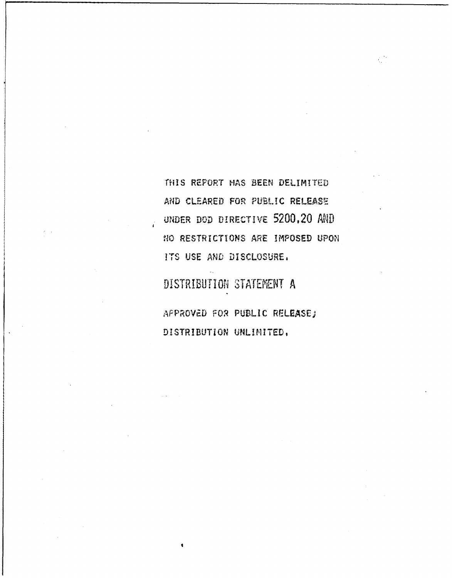THIS REPORT HAS BEEN DELIMITED AND CLEARED FOR PUBLIC RELEASE UNDER DOD DIRECTIVE 5200.20 AND NO RESTRICTIONS ARE IMPOSED UPON ITS USE AND DISCLOSURE.

ζÒ

DISTRIBUTION STATEMENT A

APPROVED FOR PUBLIC RELEASE; DISTRIBUTION UNLIMITED.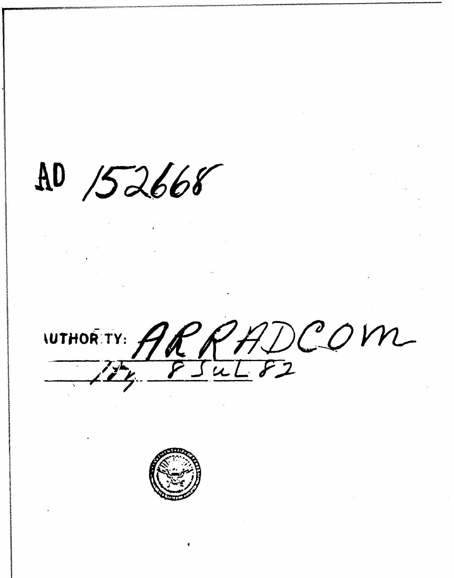$AD /52668$ 

WTHORTY: ARRADCOM

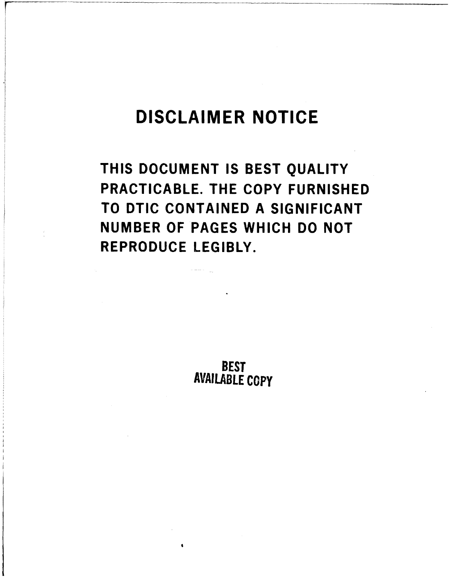# DISCLAIMER **NOTICE**

**THIS DOCUMENT IS BEST QUALITY** PRACTICABLE. THE COPY **FURNISHED** TO **DTIC CONTAINED A SIGNIFICANT NUMBER** OF **PAGES** WHICH **DO NOT** REPRODUCE LEGIBLY.

**AVAILABLE BEST COPY**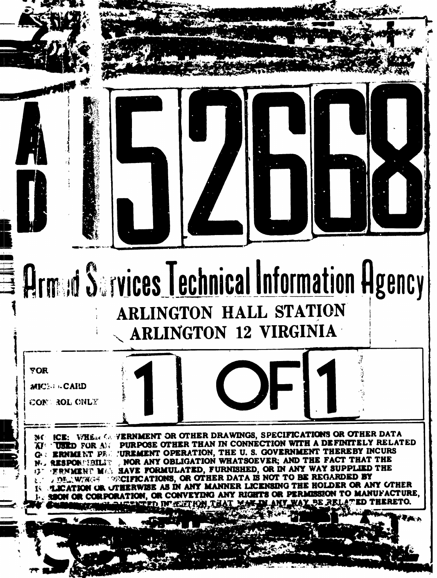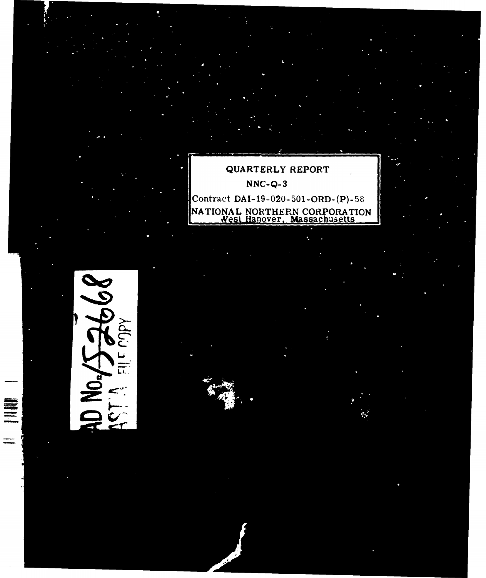QUARTERLY REPORT **NNC-Q- 3** Contract DAI-19-020-5O1-ORD-(P)-58 NATIONAL NORTHERN CORPORATION <u>West Hanover, Massachusetts</u>

**MCI.**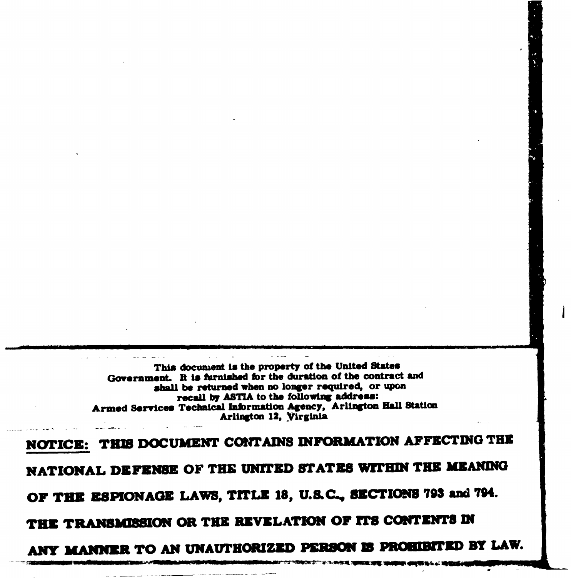This document **is** the property of the United **States Government.** It **is furnished for** the duration of the contract and shall **be** returned when **no** longer required, or upon recall **by ASTIA** to the following address: Armed Services Technical Infrmation Agency, Arlington Hall Station Arlington 12, Virginia

**4I**

**NOTICE: THU DOCUMENT CONTAINS INFORMATION AFFECTING THE** NATIONAL DEFENSE OF THE UNITED STATES WITHIN THE MEANING **OF THE ESPIONAGE LAWS, TITLE 18, U.LC., SZCTIONS 793 and 794.** THE TRANSMISSION OR THE REVELATION OF ITS CONTENTS IN ANY MANNER TO AN UNAUTHORIZED PERSON IS PROHIBITED BY LAW.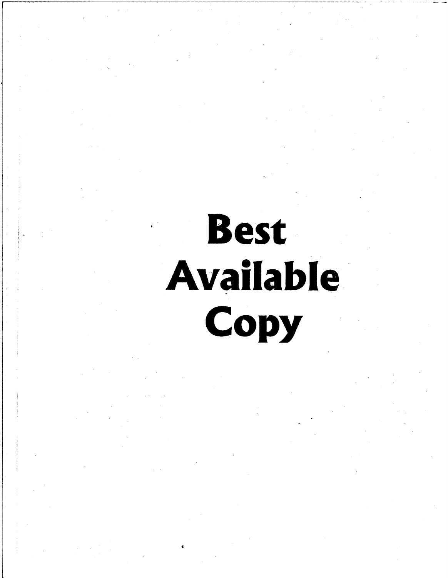# **Best Available** Copy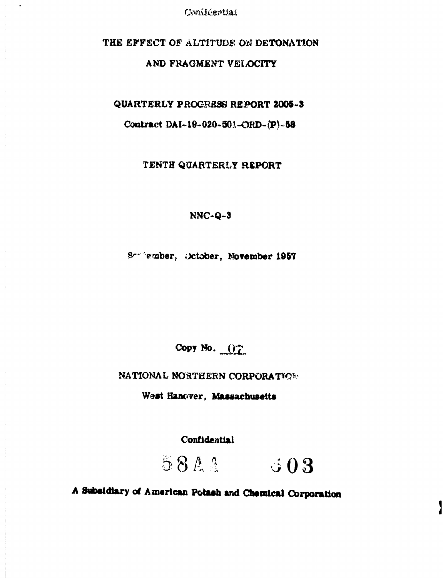## THE **EFFECT** OF **ALTITUDE OA DETONATION**

## **AND** FRAGMENT VELOCITY

**QUARTERLY PROGRESS REPORT 2005-3** 

Contract **DAI-19-020-501-ORD-(P)-58** 

TENTH QUARTERLY REPORT

**NNC-Q-3**

S -- 'ember, )ctober, November **1957**

Copy No. 07

**NATIONAL NORTHERN CORPORATION** 

West Hanover, Massachusetts

Confidential

58AA 503

**A** &s/diary of American Potash **and** Chemical **Corpoiation**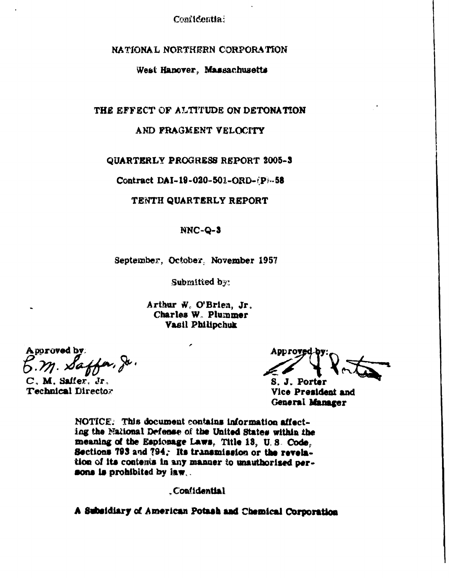## NATIONAL NORTHERN CORPORATION

## West Hanover, Massachusetts

#### THE EFFECT OF ALTITUDE ON DETONATION

## AND FRAGMENT VELOCITY

#### QUARTERLY PROGRESS REPORT 2005-3

Contract DAI-19-020-501-ORD- $(P)$ -58

#### TENTH QUARTERLY REPORT

#### NNC-Q-3

#### September, October, November 1957

Submitted by:

Arthur W. O'Brien, Jr. Charles W. Plummer **Vasil Philipchuk** 

A poroved by

C. M. Saffer, Jr. Technical Director

**DEOVI** 

S. J. Porter Vice President and General Manager

NOTICE: This document contains information affecting the National Defense of the United States within the meaning of the Espionage Laws, Title 13, U.S. Code, Sections 793 and 794. Its transmission or the revelstion of its contents in any manner to unauthorised persons is prohibited by law...

.Confidential

A Subsidiary of American Potash and Chemical Corporation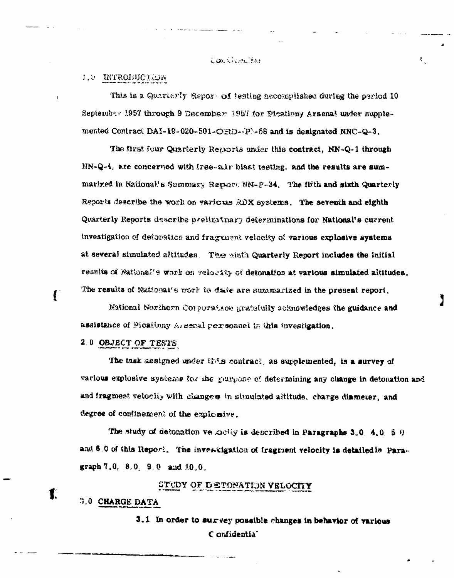#### CORRIGANISM

等。

## L.O INTRODUCTION

This is a Quarkerly Report of testing accomplished during the period 10 September 1957 through 9 December 1957 for Picatinny Arsenal under supplemented Contract DAI-19-020-501-ORD- $(P)$ -58 and is designated NNC-Q-3.

The first four Quarterly Reports under this contract, NN-Q-1 through  $MN-Q-4$ , are concerned with free-air blast testing, and the results are summarized in National's Summary Report NN-P-34. The fifth and sixth Quarterly Reports describe the work on various RDX systems. The seventh and eighth Quarterly Reports describe preliminary determinations for National's current investigation of detonation and fragment velocity of various explosive systems at several simulated altitudes. The muth Quarterly Report includes the initial results of National's work on velocity of detonation at various simulated altitudes. The results of National's work to date are summarized in the present report.

National Northern Corporation gratefully acknowledges the guidance and assistance of Picatinny A, senal personnel in this investigation.

#### 2.0 OBJECT OF TESTS

 $\mathbf{I}$ 

 $\mathbf{I}$ 

The task assigned under this contract, as supplemented, is a survey of various explosive systems for the purpose of determining any change in detonation and and fragment velocity with changes in simulated altitude, charge diameter, and degree of confinement of the explosive.

The study of defonation velocity is described in Paragraphs  $3.0$ , 4.0, 5.9 and 6.0 of this Report. The investigation of fragment velocity is detailed in Paragraph  $7.0, 8.0, 9.0$  and  $10.0$ .

STUDY OF DETONATION VELOCITY

## 3.0 CHARGE DATA

3.1 In order to survey possible changes in behavior of various Confidentia"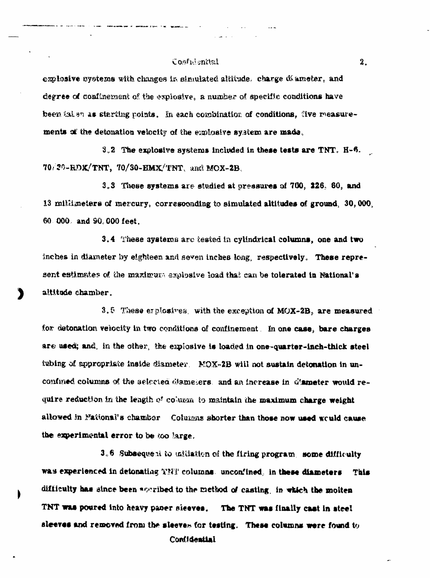#### Costuisnital

explosive systems with changes in simulated altitude. charge diameter, and degree of confinement of the explosive, a number of specific conditions have been tal an as starting points. In each combination of conditions, five measurements of the detonation velocity of the explosive system are made.

 $3.2$  The explosive systems included in these tests are TNT.  $H-6$ .  $70/30$ -RDK/TNT,  $70/30$ -EMX/TNT, and MOX-2B.

3.3 These systems are studied at pressures of 760, 226, 60, and 13 mililimeters of mercury, corresponding to simulated altitudes of ground, 30,000, 60.000. and 90.000 feet.

3.4 These systems are tested in cylindrical columns, one and two inches in diameter by eighteen and seven inches long, respectively. These represent estimates of the maximum explosive load that can be tolerated in National's altitude chamber.

3.5 These explosives, with the exception of  $M_0X-2B$ , are measured for detonation velocity in two conditions of confinement. In one case, bare charges are used; and, in the other, the explosive is loaded in one-quarter-inch-thick steel tubing of appropriate inside diameter. MOX-2B will not sustain detonation in unconfined columns of the selected diameters, and an increase in diameter would require reduction in the length of column to maintain the maximum charge weight allowed in Mational's chamber Columns shorter than those now used would cause the experimental error to be too large.

3.6 Subsequent to mittation of the firing program, some difficulty was experienced in detonating TNT columns, unconfined, in these diameters This difficulty has since been assuibed to the method of casting, in which the molten TNT was poured into heavy paner sieeves. The TNT was finally cast in steel sleeves and removed from the sleeves for testing. These columns were found to Confidential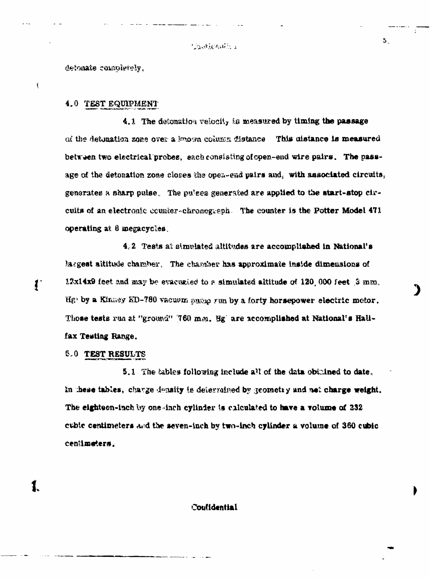5.

detonate completely.

 $\overline{\mathcal{L}}$ 

 $\mathbf{f}^*$ 

## 4.0 TEST EQUIPMENT

4.1 The deconation velocity is measured by timing the passage (a) the detenation zone over a known column distance **This cistance is measured** between two electrical probes, each consisting of open-end wire pairs. The passage of the detonation zone closes the opez-ead pairs and, with associated circuits, generatee **a sharp** pulse, The pu'eea generated **are** applied to **the.** start-stop circuits of an electronic counter-chronogesph. The counter is the Potter Model 471 operating at **8** megacycles.

4.2 Tests at simulated altitudes are accomplished in National's largest altitude chamber. The charaber has approximate inside dimensions of **12x14x9** feet and may be evacunied to a simulated altitude of 120,000 feet **3** mm, **fig**, by a Kinney KD-780 vacuum pucip run by a forty horsepower electric motor. Those tests run at "ground" '760 mm. Hg' are accomplished at National's Halifax Testing Range.

*S.A* TEST **RESULTS**

**5.1** The tables following include all of the data obthined to date, In these tables, charge density is determined by geometry and net charge weight. The eighteen-inch by one-inch cylinder is calculated to have a volume of 232 **cubic centimeters and the seven-inch by two-inch cylinder a volume of 360 cubic cen 1meters.**

Couffdential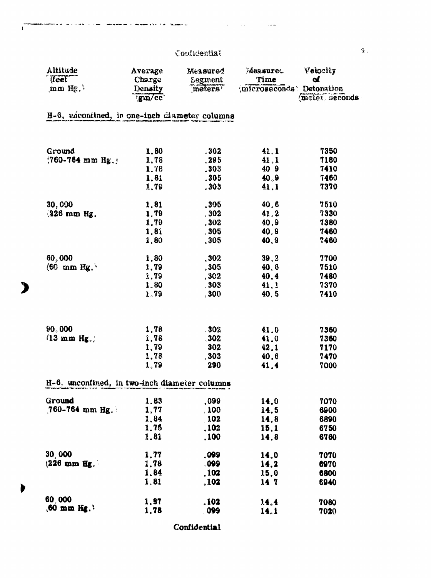للمار للموا

i.

 $\sim$ 

.<br>Japon – angregasas iz Siri (f. 1811)

 $\sqrt{1}$ 

 $\mathbf{B}$ 

 $\blacktriangleright$ 

| Altitude                                      | Average                  | Measured       | Measuret.                 | Velocity      |
|-----------------------------------------------|--------------------------|----------------|---------------------------|---------------|
| (feet                                         | Charge                   | <b>Segment</b> | Time                      | $\mathbf{d}$  |
| $\text{mm}$ Hg.                               | <b>Density</b><br>gm/cc' | meters         | (microseconds) Detonation | meter seconds |
| H-6, váconined, in one-inch diameter columns  |                          |                |                           |               |
|                                               |                          |                |                           |               |
| Ground                                        | 1.80                     | .302.          | 41.1                      | 7350          |
| $(760 - 764 \text{ mm Hg.})$                  | 1.78                     | .295           | 41.1                      | 7180          |
|                                               | 1.78                     | .303           | 40.9                      | 7410          |
|                                               | 1,81                     | .305           | 40.9                      | 7460          |
|                                               | 1,79                     | .303           | 41.1                      | 7370          |
| 30,000                                        | 1.81                     | .305           | 40,6                      | 7510          |
| $326$ mm Hg.                                  | 1,79                     | .302           | 41.2                      | 7330          |
|                                               | 1,79                     | 302            | 40.9                      | 7380          |
|                                               | 1.8í                     | , 305          | 40.9                      | 7460          |
|                                               | 1.80                     | ,305           | 40, 9                     | 7460          |
| 60,000                                        | 1.80                     | .302           | 39, 2                     | 7700          |
| $(60 \, \text{mm} \, \text{Hg.})$             | 1.79                     | 305            | 40.6                      | 7510          |
|                                               | 1.79                     | .302           | 40.4                      | 7480          |
|                                               | 1,80                     | .303           | 41, 1                     | 7370          |
|                                               | 1.79                     | 300            | 40, 5                     | 7410          |
|                                               |                          |                |                           |               |
| 90,000                                        | 1,78                     | .302           | 41.0                      | 7360          |
| $(13 \text{ mm Hg.})$                         | 1,78                     | 30z            | 41.0                      | 7360          |
|                                               | 1,79                     | 302            | 42.1                      | 7170          |
|                                               | 1,78                     | .303           | 40.6                      | 7470          |
|                                               | 1.79                     | 290            | 41.4                      | 7000          |
| H-6, unconfined, in two-inch diameter columns |                          |                |                           |               |
| Ground                                        | 1,83                     | ,099           | 14.0                      | 7070          |
| 760-764 mm Hg.                                | 1,77                     | .100           | 14.5                      | 6900          |
|                                               | 1,84                     | 102            | 14,8                      | 6890          |
|                                               | 1.75                     | ,102           | 15.1                      | 6750          |
|                                               | 1,81                     | ,100           | 14.8                      | 6760          |
| <b>30,000</b>                                 | 1,77                     | ,099           | 14.0                      | 7070          |
| $(226 \text{ mm Hg})$                         | 1,78                     | .099           | 14,2                      | 6970          |
|                                               | 1,84                     | .102           | 15.0                      | 6800          |
|                                               | 1,81                     | , 102          | 14 7                      | 6940          |
| 60,000                                        | 1.97                     | . 102          | 14.4                      | 7080          |
| $(60 \text{ mm})$ Hg. $)$                     | 1.78                     | 099            | 14.1                      | 7020          |

Confidential

 $\mathbf{\hat{z}}$  .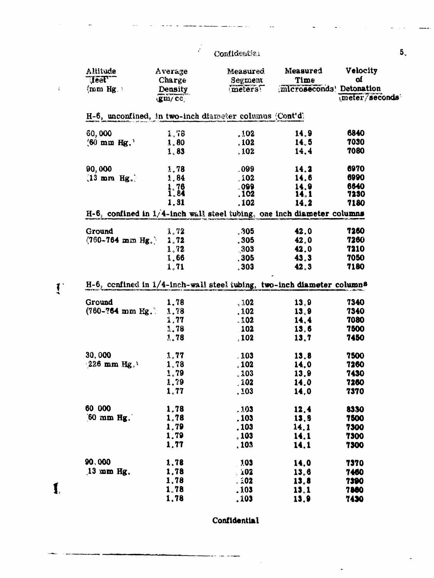$\frac{1}{\sqrt{2}}$ 

J.

 $\langle$ 

 $\mathbf{I}$ 

 $\mathbf{I}$ 

| <b>Altitude</b><br>$\textbf{Test}$                                               | Average<br>Charge   | Measured<br>Segment | Measured<br>Time          | Velocity<br>of |
|----------------------------------------------------------------------------------|---------------------|---------------------|---------------------------|----------------|
| $\langle$ mm Hg.                                                                 | <b>Density</b>      | meters              | ;microseconds' Detonation |                |
|                                                                                  | $\langle$ gm/cc $ $ |                     |                           | meter/seconds  |
| H-6, unconfined, in two-inch diameter columns (Cont'd)                           |                     |                     |                           |                |
| 60,000                                                                           | 1,78                | .102.               | 14.9                      | 6840           |
| $(60 \text{ mm Hg.})$                                                            | 1.80                | .102                | 14.5                      | 7030           |
|                                                                                  | 1,83                | .102                | 14.4                      | 7080           |
| 90,000                                                                           | 1.78                | .099                | 14.2                      | 6970           |
| $(13 \text{ mm Hg.})$                                                            | 1.84                | .102                | 14.6                      | 6990           |
|                                                                                  | $1.76$<br>$1.84$    | .099                | 14.9                      | 6640           |
|                                                                                  |                     | .102                | 14,1                      | 7230           |
|                                                                                  | 1.81                | .102                | 14.2                      | 7180           |
| $H-6$ , confined in $1/4$ -inch wall steel tubing, one inch diameter columns     |                     |                     |                           |                |
| Ground                                                                           | 1.72                | 305                 | 42.0                      | 7260           |
| $(760 - 764 \text{ mm} \text{ Hg}.)$                                             | $\frac{1}{2}$ , 72  | .305                | 42.0                      | 7260           |
|                                                                                  | 1.72                | 303                 | 42.0                      | 7210           |
|                                                                                  | 1.66                | , 305               | 43.3                      | 7050           |
|                                                                                  | 1, 71               | 303                 | 42.3                      | 7180           |
| H-6, cenfined in 1/4-inch-wall steel tubing, two-inch diameter columns<br>Ground | 1,78                | , 102               | 13.9                      | 7340           |
| $(760 - 764 \text{ mm})$ Hg.                                                     | 1,78                | .102                | 13.9                      | 7340           |
|                                                                                  | 1.77                | .102                | 14,4                      | 7080           |
|                                                                                  | 1,78                | 102                 | 13.6                      | 7500           |
|                                                                                  | 1,78                | , 102               | 13.7                      | 7450           |
|                                                                                  |                     |                     |                           |                |
| 30,000                                                                           | 1.77                | .103                | 13,8                      | 7500           |
| $226$ mm Hg.                                                                     | 1,78                | .102                | 14,0                      | 7260           |
|                                                                                  | 1.79                | .103                | 13.9                      | 7430           |
|                                                                                  | 1,79                | .102                | 14.0                      | 7260           |
|                                                                                  | 1.77                | .103                | 14,0                      | 7370           |
| 60 000                                                                           | 1,78                | .103                | 12.4                      | 8330           |
| $[60 \text{ mm Hg}].$                                                            | 1,78                | .103                | 13,9                      | 7500           |
|                                                                                  | 1.79                | , 103               | 14.1                      | 7300           |
|                                                                                  | 1,79                | .103                | 14.1                      | 7300           |
|                                                                                  | 1.77                | . 103               | 14.1                      | 7300           |
| 90,000                                                                           | 1.78                | .103                | 14,0                      | 7370           |
| $13$ mm Hg.                                                                      | 1,78                | 102                 | 13,6                      | <b>7460</b>    |
|                                                                                  | 1,78                | .202                | 13,8                      | 7390           |
|                                                                                  | 1.78                | .103                | 13.1                      | 7860           |
|                                                                                  | 1,78                | .103                | 13.9                      | 7430           |

Confidential

 $\overline{a}$ 

 $\overline{\phantom{a}}$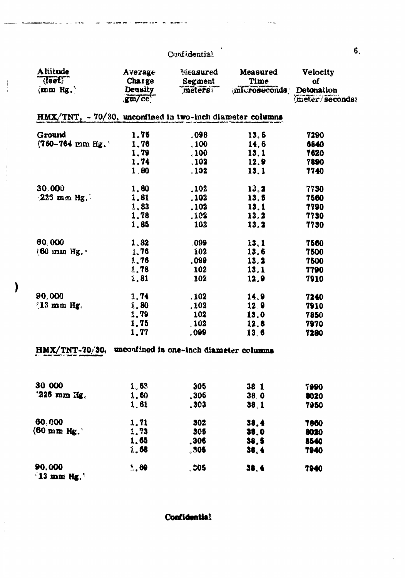$\epsilon$ 

. . . .

⊣

 $\mathbf{I}$ 

| Altitude<br>(leet)                                        | Average<br>Charge       | Measured<br>Segment | <b>Measured</b><br>Time | <b>Velocity</b><br>0f         |
|-----------------------------------------------------------|-------------------------|---------------------|-------------------------|-------------------------------|
| $\langle$ mm Hg. $\rangle$                                | <b>Density</b><br>gm/cc | meters;             | microseconds            | Detonation<br>(meter/seconds) |
| HMX/TNT, - 70/30, unconfined in two-inch diameter columns |                         |                     |                         |                               |
| Ground                                                    | 1,75                    | .098                | 13, 5                   | 7290                          |
| $(760 - 764 \text{ mm Hz.})$                              | 1,76                    | , 100               | 14,6                    | 6840                          |
|                                                           | 1,79                    | .100                | 13.1                    | 7620                          |
|                                                           | 1.74                    | ,102                | 12.9                    | 7890                          |
|                                                           | 1,80                    | .102                | 13.1                    | 7740                          |
| 30.000                                                    | 1.80                    | .102                | 13, 2                   | 7730                          |
| $225$ mm Hg.                                              | 1.81                    | .102                | 13.5                    | 7560                          |
|                                                           | 1.83                    | .102                | 13.1                    | 7790                          |
|                                                           | 1.78                    | . 102               | 13.2                    | 7730                          |
|                                                           | 1.85                    | 102                 | 13.2                    | 7730                          |
| 60,000                                                    | 1.82                    | .099                | 13.1                    | 7560                          |
| $(60 \text{ mm Hg}^{-1})$                                 | 1.76                    | 102                 | 13.6                    | 7500                          |
|                                                           | 1,76                    | .099                | 13.2                    | 7500                          |
|                                                           | 1.78                    | 102                 | 13.1                    | 7790                          |
|                                                           | 1.81                    | .102                | 12.9                    | 7910                          |
| 90,000                                                    | 1.74                    | , 102               | 14.9                    | 7240                          |
| $(13 \text{ mm Hg})$ .                                    | $\lambda.80$            | .102                | 12.9                    | 7910                          |
|                                                           | 1.79                    | 102                 | 13,0                    | 7850                          |
|                                                           | 1,75                    | .102                | 12.8                    | 7970                          |
|                                                           | 1.77                    | 000 <sub>o</sub>    | 13,6                    | 7280                          |
| HMX/TNT-70/30, uncoulined in one-inch diameter columns    |                         |                     |                         |                               |
| 30 000                                                    |                         |                     |                         |                               |
|                                                           | $\lambda_0$ 63          | 305                 | 38 <sub>1</sub>         | 7990                          |
| $"226$ mm $\texttt{Hg}_4"$                                | 1.60                    | , 306               | 38, 0                   | 8020                          |
|                                                           | 1,61                    | .303                | 38.1                    | 7950                          |
| 60,000                                                    | 1.71                    | 302                 | 38.4                    | 7860                          |
| $(60 \text{ mm Hg.})$                                     | 1,73                    | 305                 | 38.0                    | 8020                          |
|                                                           | 1,65                    | ,306                | 38,5                    | 8540                          |
|                                                           | <b>1.08</b>             | . 305               | 38, 4                   | 7940                          |
| 90,000<br>$13 \text{ mm Hz}$ .                            | 5.80                    | ್ನ ೦೦5              | 38.4                    | 7940                          |

Confidential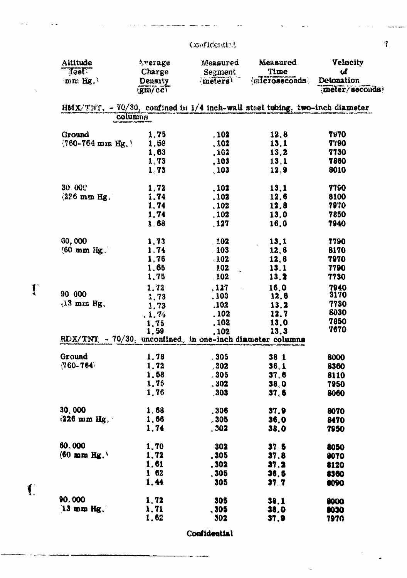## Confideration

i.

. .

 $\overline{\mathbb{R}}$ 

 $\mathbf{I}$ 

 $\left( \begin{array}{c} 1 \\ 1 \end{array} \right)$ 

| Altitude                                                    | Average                                 | Measured            | Measured                                                                      | Velocity       |
|-------------------------------------------------------------|-----------------------------------------|---------------------|-------------------------------------------------------------------------------|----------------|
| Teet.                                                       | Charge                                  | Segment             | Time                                                                          | сđ             |
| $(mm$ Hg, $)$                                               | Density                                 | meters              | (microseconds)                                                                | Detonation     |
|                                                             | $\langle$ gm/cc)                        |                     |                                                                               | meter/seconds) |
|                                                             |                                         |                     | HMX/TNT, - 70/30, confined in $1/4$ inch-wall steel tubing, two-inch diameter |                |
|                                                             | columna<br>CACT ARCHAMORE - TACRASTE IN |                     |                                                                               |                |
| Ground                                                      | 1,75                                    | .102                | 12.8                                                                          | <b>7970</b>    |
| $(760 - 764 \text{ mm})$ Hg.                                | 1.59                                    | .102                | 13,1                                                                          | 7790           |
|                                                             | 1.63                                    | .102                | 13,2                                                                          | 7730           |
|                                                             | 1.73                                    | .103                | 13,1                                                                          | 7860           |
|                                                             | 1,73                                    | .103                | 12.9                                                                          | 8010           |
| 30.000                                                      | 1.72                                    | .102                | 13.1                                                                          | 7790           |
| $(226 \text{ mm Hg})$ .                                     | 1.74                                    | .102                | 12.6                                                                          | 8100           |
|                                                             | 1.74                                    | .102                | 12.8                                                                          | 7970           |
|                                                             | 1,74                                    | .102                | 13.0                                                                          | 7850           |
|                                                             | 1.68                                    | .127                | 16.0                                                                          | 7940           |
|                                                             |                                         |                     |                                                                               |                |
| 30,000                                                      | 1.73                                    | 102                 | 13.1                                                                          | 7790           |
| $(60 \text{ mm Hz})$                                        | 1.74                                    | 103                 | 12.6                                                                          | 8170           |
|                                                             | 1,76                                    | .102                | 12,8                                                                          | 7970           |
|                                                             | 1,65                                    | .102<br>$\bar{a}$   | 13,1                                                                          | 7790           |
|                                                             | 1,75                                    | .102                | 13,2                                                                          | 7730           |
|                                                             | 1,72                                    | , 127<br>$\sim 100$ | 16.0                                                                          | 7940           |
| 90 000                                                      | 1,73                                    | .103                | <b>12.6</b>                                                                   | 3170           |
| $13$ mm Hg.                                                 | 1,73                                    | .102                | 13, 2                                                                         | 7730           |
|                                                             | .1.74                                   | .102                | 12.7                                                                          | 8030           |
|                                                             | 1,75                                    | .102                | 13.0                                                                          | 7850           |
|                                                             | 1,59                                    | .102                | 13.3                                                                          | 7670           |
| RDX/TNT $-70/30$ , unconfined, in one-inch diameter columns |                                         |                     |                                                                               |                |
| Ground                                                      | 1.78                                    | 305                 | 38 1                                                                          | 8000           |
| $(760 - 764)$                                               | 1,72                                    | .302                | 36.1                                                                          | 8360           |
|                                                             | 1,58                                    | , 305               | 37.6                                                                          | 8110           |
|                                                             | 1.75                                    | . 302               | 38,0                                                                          | 7950           |
|                                                             | 1.76                                    | .303                | 37.6                                                                          | 8060           |
| 30,000                                                      | 1,68                                    | .306                | 37.9                                                                          | 8070           |
| $(226 \text{ mm Hg})$                                       | 1,66                                    | .305                | 36.0                                                                          | 8470           |
|                                                             | 1,74                                    | .302                | 38.0                                                                          | 7950           |
|                                                             |                                         |                     |                                                                               |                |
| 60,000                                                      | 1,70                                    | 302                 | 37.5                                                                          | 8050           |
| $(60 \text{ mm Hz.})$                                       | 1.72                                    | .305                | 37.8                                                                          | 9070           |
|                                                             | 1,61                                    | .302                | 37.2                                                                          | 8120           |
|                                                             | 162                                     | 305                 | 36,5                                                                          | 8360           |
|                                                             | 1.44                                    | 305                 | 37.7                                                                          | 8090           |
| 90,000                                                      | 1.72                                    | 305                 | 38,1                                                                          | 8000           |
| $13$ mm Hg.                                                 | 1.71                                    | $_{\circ}$ 305      | <b>38.0</b>                                                                   | 8030           |
|                                                             | 1.62                                    | 302                 | 37,9                                                                          | 7970           |
|                                                             |                                         |                     |                                                                               |                |

Confidential

l.

 $\tilde{V}$ 

 $\rightarrow$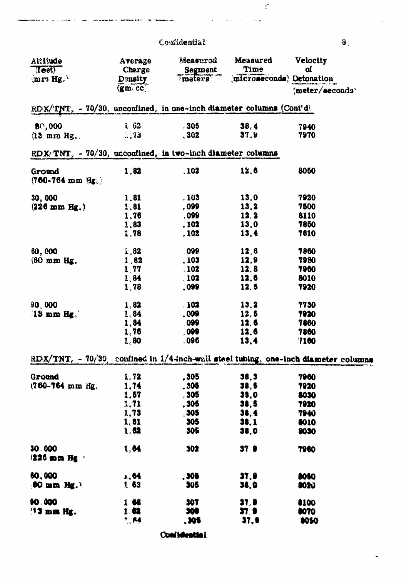| Altitude<br><b>Teet!</b><br>$(mr)$ Hg. $^{\circ}$                      | Average<br><b>Charge</b><br>Density           | Measured<br>Segment<br>meters | Measured<br>Time | <b>Velocity</b><br>ΟÍ<br>microseconds; Detonation                                   |
|------------------------------------------------------------------------|-----------------------------------------------|-------------------------------|------------------|-------------------------------------------------------------------------------------|
|                                                                        | (gm cc                                        |                               |                  | $\frac{1}{2}$ meter/seconds <sup>4</sup>                                            |
| $RDX/TNT$ , - 70/30, unconfined, in one-inch diameter columns (Contidi |                                               |                               |                  |                                                                                     |
| \$0,000                                                                | 202                                           | $-305$                        | 38, 4            | 7940                                                                                |
| $(13 \t{mm} \t{Hz})$ .                                                 | 3.73                                          | .302                          | 37.9             | 7970                                                                                |
| RDX/TNT, $-70/30$ , unconfined, in two-inch diameter columns           |                                               |                               |                  |                                                                                     |
| Ground<br>$(760 - 764 \text{ mm Hz}.)$                                 | 1,82                                          | .102                          | 12.6             | 8050                                                                                |
| 30,000                                                                 | 1.81                                          | .103                          | 13.0             | 7920                                                                                |
| $(226 \text{ mm Hg.})$                                                 | 1,81                                          | .099                          | 13.2             | 7500                                                                                |
|                                                                        | 1,76                                          | ,099                          | 12, 2            | 8110                                                                                |
|                                                                        | 1.83                                          | $_{\circ}$ 102                | 13.0             | 7850                                                                                |
|                                                                        | 1.78                                          | $_{\circ}$ 102                | 13, 4            | 7610                                                                                |
| 60,000                                                                 | i.82                                          | 099                           | 12,6             | 7860                                                                                |
| $(60 \text{ mm Hz.})$                                                  | 1,82                                          | .103                          | 12,9             | 7980                                                                                |
|                                                                        | 1,77                                          | , 102                         | 12,8             | 7960                                                                                |
|                                                                        | 1.84                                          | . 102                         | 12.6             | 8010                                                                                |
|                                                                        | 1.78                                          | $_{\circ}$ 099                | 12, 5            | 7920                                                                                |
| 90,000                                                                 | 1.82                                          | .102                          | 13.2             | 7730                                                                                |
| $13$ mm Hg.                                                            | 1,84                                          | .099                          | 12, 5            | 7920                                                                                |
|                                                                        | 1,84                                          | 099                           | 12, 6            | 7860                                                                                |
|                                                                        | 1.76                                          | .099                          | 12,6             | 7860                                                                                |
|                                                                        | 1,80                                          | $-096$                        | 13, 4            | <b>7160</b>                                                                         |
|                                                                        |                                               |                               |                  | RDX/TNT, - 70/30, confined in 1/4-inch-wall steel tubing, one-inch diameter columns |
| Ground                                                                 | 1,72                                          | ,305                          | 38,3             | 7960                                                                                |
| 1760-764 mm Hg.                                                        | 1,74                                          | .305.                         | 38.5             | 7920                                                                                |
|                                                                        | 1,57                                          | , 305                         | 38.0             | 8030                                                                                |
|                                                                        | 3,71                                          | .305.                         | 38.5             | 7920                                                                                |
|                                                                        | 1,73                                          | 305                           | 38, 4            | 7940                                                                                |
|                                                                        | $\mathbf{1}_{\mathrm{e}}\mathbf{6}\mathbf{1}$ | 305                           | 38,1             | 8010                                                                                |
|                                                                        | 1,62                                          | 305                           | 38.0             | 9030                                                                                |
| 30.000<br>$1226$ mm $Hg$ .                                             | 1,64                                          | <b>302</b>                    | <b>37 9</b>      | 7960                                                                                |
| 60,000                                                                 | $\lambda$ , 64                                | .306                          | 37.9             | 8050                                                                                |
| $60$ mm Hg. <sup>1</sup>                                               | 1.63                                          | 305                           | 38.0             | <b>3020</b>                                                                         |
|                                                                        |                                               |                               |                  |                                                                                     |
| 90.000                                                                 | 166                                           | 307                           | $\mathbf{37.9}$  | 8100                                                                                |
| <b>13 mm Hg.</b>                                                       | 182                                           | 306                           | 37 O             | <b>8070</b>                                                                         |
|                                                                        | $^*$ M                                        | .305                          | 37,9             | <b>DOSO</b>                                                                         |

Confidential

 $\mathbf{8}$ 

÷

 $\mathcal{L}$ 

 $\sim$ 

 $\sim$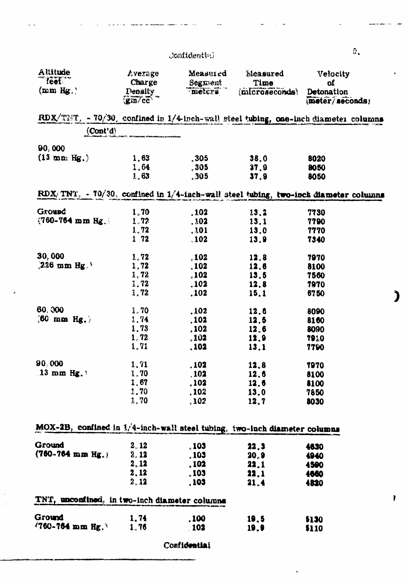## .'onfidential

| feet.                                                                               | Charge                                                                                  | Measured<br>Segment | Time           | Measured<br>Velocity<br>of   |  |
|-------------------------------------------------------------------------------------|-----------------------------------------------------------------------------------------|---------------------|----------------|------------------------------|--|
| $\{\text{mm Hg}_{\circ}\}$                                                          | <b>Density</b><br>$\left( \frac{\text{g}}{\text{m}}\right)$ $\frac{\text{g}}{\text{m}}$ | meters              | (microseconds) | Detonation<br>meter/seconds; |  |
| RDX/THT, - 70/30, confined in 1/4-inch-wall steel tubing, one-inch diameter columns |                                                                                         |                     |                |                              |  |
| (Cont'd)                                                                            |                                                                                         |                     |                |                              |  |
| 90,000                                                                              |                                                                                         |                     |                |                              |  |
| $(13 \text{ mm} \text{ Hg.})$                                                       | 1.63                                                                                    | , 305               | 38.0           | 8020                         |  |
|                                                                                     | 1,64                                                                                    | .305                | 37.9           | 8050                         |  |
|                                                                                     | 1.63                                                                                    | .305                | 37,9           | 8050                         |  |
| RDX/TNT, - 70/30, confined in 1/4-inch-wall steel tubing, two-inch diameter columns |                                                                                         |                     |                |                              |  |
| Ground                                                                              | 1,70                                                                                    | .102                | 13.2           | 7730                         |  |
| $(760 - 764 \text{ mm Hz})$                                                         | 1.72                                                                                    | .102                | 13,1           | 7790                         |  |
|                                                                                     | 1.72                                                                                    | ,101                | 13.0           | 7770                         |  |
|                                                                                     | 1.72                                                                                    | .102                | 13.9           | 7340                         |  |
| 30,000                                                                              | 1.72                                                                                    | .102                | 12.8           | 7970                         |  |
| $226$ mm Hg.                                                                        | 1.72                                                                                    | .102                | 12.6           | 8100                         |  |
|                                                                                     | 1, 72                                                                                   | .102                | 13.5           | 7560                         |  |
|                                                                                     | 1.72                                                                                    | .102                | 12.8           | 7970                         |  |
|                                                                                     | 1, 72                                                                                   | .102                | 15.1           | 6750                         |  |
| 60,000                                                                              | 1.70                                                                                    | .102                | 12,6           | 8090                         |  |
| $(60 \text{ mm Hg.})$                                                               | 1.74                                                                                    | .102                | 12,5           | 8160                         |  |
|                                                                                     | 1,73                                                                                    | .102                | 12.6           | 8090                         |  |
|                                                                                     | 1, 72                                                                                   | .102                | 12,9           | 7910                         |  |
|                                                                                     | 1,71                                                                                    | , 102               | 13.1           | 7790                         |  |
| 90,000                                                                              | 1,71                                                                                    | . 102               | 12,8           | 7970                         |  |
| $13 \text{ mm Hg.}$                                                                 | $\lambda$ , 70                                                                          | .102                | 12,6           | 8100                         |  |
|                                                                                     | 1,67                                                                                    | .102                | 12.6           | 8100                         |  |
|                                                                                     | <b>1.70</b>                                                                             | .102                | 13.0           | 7850                         |  |
|                                                                                     | 2.70                                                                                    | $_{\circ}$ 102      | 12.7           | 8030                         |  |
| MOX-2B, confined in 1/4-inch-wall steel tubing, two-inch diameter columns           |                                                                                         |                     |                |                              |  |
|                                                                                     |                                                                                         |                     |                |                              |  |
| Ground                                                                              | 2,12                                                                                    | .103                | 22.3           | 4630                         |  |
| $(760 - 764 \text{ mm Hz.})$                                                        | 2,12<br>2.12                                                                            | .103                | 20,9           | 4940                         |  |
|                                                                                     | 2.12                                                                                    | . 102<br>.103       | 22.1<br>22.1   | 4590<br>4660                 |  |
|                                                                                     | 2.12                                                                                    | . 103               | 21.4           | 4820                         |  |
|                                                                                     |                                                                                         |                     |                |                              |  |
| TNT, unconfined, in two-inch diameter columns                                       |                                                                                         |                     |                |                              |  |
| Ground                                                                              | 1.74                                                                                    | .100 <sub>1</sub>   | 19.5           | 5130                         |  |
| $(760 - 764 \text{ mm Hg.})$                                                        | 1,76                                                                                    | 102                 | 19.9           | 5110                         |  |
|                                                                                     |                                                                                         | Confidential        |                |                              |  |

 $\ddot{\phantom{0}}$ 

 $\mathbf{\hat{J}}$ 

 $\pmb{\}$ 

 $\hat{\mathbf{z}}$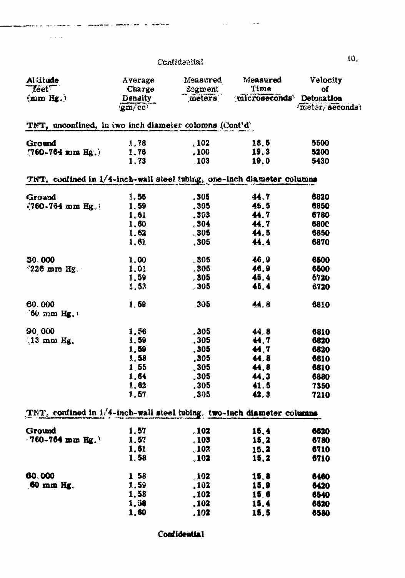لأناب المالي

سأنشأش

 $\mathbf{r}$ السادا ستواري الأول

| Al titude                                                                 | Average     | Measured            | Measured                 | Velocity       |
|---------------------------------------------------------------------------|-------------|---------------------|--------------------------|----------------|
| <b>Teet</b>                                                               | Charge      | Segment             | Time                     | <b>of</b>      |
| ${mnHg.}$                                                                 | Density     | meters              | microseconds' Detonation |                |
|                                                                           | 'gm/cc'     |                     |                          | meter/seconds) |
| TNT, unconfined, in two inch diameter colomns (Cont'd)                    |             |                     |                          |                |
| Ground                                                                    | 1,78        | , 102               | 18.5                     | 5500           |
| $(760 - 764 \times \text{m})$ Hg.                                         | <b>1.76</b> | .100                | 19.3                     | 5200           |
|                                                                           | 1.73        | .103                | 19.0                     | 5430           |
| TNT, confined in 1/4-inch-wall steel tubing, one-inch diameter columns    |             |                     |                          |                |
| Ground                                                                    | 1,55        | .305                | 44.7                     | 6820           |
| $\sqrt{760-764}$ mm Hg.                                                   | 1.59        | .305                | 45.5                     | 6850           |
|                                                                           | 1.61        | .303                | 44.7                     | 6780           |
|                                                                           | 1,60        | $_{\circ}$ 304      | 44.7                     | <b>6800</b>    |
|                                                                           | 1.62        | 305                 | 44.5                     | 6850           |
|                                                                           | 1.61        | .305.               | 44.4                     | 6870           |
|                                                                           |             |                     |                          |                |
| 30.000                                                                    | 1,00        | 305                 | 46.9                     | 6500           |
| $\sim$ 226 mm Hg.                                                         | 1.01        | .305                | 46.9                     | 6500           |
|                                                                           | 1,59        | , 305               | 45, 4                    | 6720           |
|                                                                           | 1,53        | .305                | 45, 4                    | 6720           |
| 60.000                                                                    | 1,59        | 305                 | 44.8                     | 6810           |
| $160$ mm Hg.                                                              |             |                     |                          |                |
| 90,000                                                                    | 1,56        | , 305.              | 44.8                     | 6810           |
| $13$ mm Hg.                                                               | 1.59        | .305                | 44.7                     | 6820           |
|                                                                           |             |                     |                          |                |
|                                                                           | 1,59        | , 305               | 44,7                     | 6820           |
|                                                                           | 1,58        | .305                | 44.8                     | 6810           |
|                                                                           | 1,55        | 305                 | 44.8                     | 6810           |
|                                                                           | 1.64        | 305                 | 44.3                     | 6880           |
|                                                                           | 1.62        | , 305               | 41,5                     | 7350           |
|                                                                           | 1.57        | .305                | 42.3                     | 7210           |
| TET, confined in $1/4$ -inch-wall steel tubing, two-inch diameter columns |             |                     |                          |                |
| Ground                                                                    | 1.57        | .102                | 15.4                     | 6620           |
| $-760 - 764$ mm Hg.                                                       | 1,57        | .103                | 15.2                     | 6780           |
|                                                                           | 1,61        | .102                | 15.2                     | 6710           |
|                                                                           | 1.58        | .102                | 15.2                     | 6710           |
| 60,000                                                                    | 1 58        | .102                | 15.8                     | 6460           |
| $60$ mm $Hg$ .                                                            | 1,59        | .102                | 15.9                     | 6420           |
|                                                                           | 1.58        | .102                | <b>15.6</b>              | 6540           |
|                                                                           | 1.58        | .102                | 15.4                     | 6620           |
|                                                                           | 1,60        | $\boldsymbol{.102}$ | 15,5                     | 6580           |
|                                                                           |             |                     |                          |                |

**Confidential**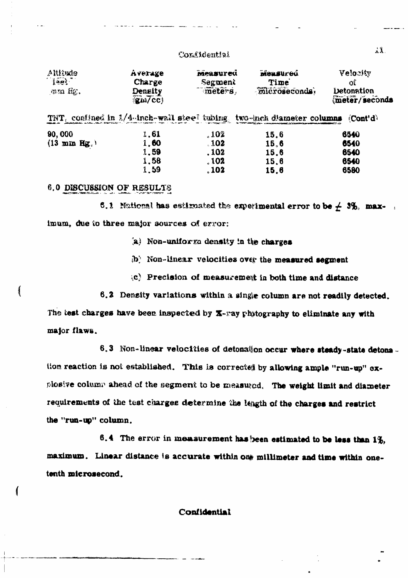| Altitude<br>feet <sup>*</sup><br>wa 6c.         | Ávefage<br>Charge<br>Density<br>$\left($ gm/cc $\right)$ | <b>Measured</b><br>Segment<br>meters, | <b>Mensured</b><br>Time<br><b>Microseconds</b> | Velocity<br>ΟĈ<br><b>Detonation</b><br>meter/seconds |
|-------------------------------------------------|----------------------------------------------------------|---------------------------------------|------------------------------------------------|------------------------------------------------------|
| TNT, contined in $1/4$ -inch-wall stee? tubing. |                                                          |                                       | two-mch diameter columns                       | $\langle$ Cont'd                                     |
| 90,000                                          | 1.61                                                     | . 102                                 | 15.6                                           | 6540                                                 |
| $(13$ mm Hg.)                                   | 1,60                                                     | .102                                  | 15.6                                           | 6540                                                 |
|                                                 | 1.59                                                     | . 102                                 | 15.6                                           | 6540                                                 |
|                                                 | 1.58                                                     | .102                                  | 15.6                                           | 6540                                                 |
|                                                 | 1.59                                                     | . 102                                 | 15.6                                           | 6580                                                 |

## 6.0 DISCUSSION OF RESULTS

6.1 National has estimated the experimental error to be  $\neq$  3%, maximum, due to three major sources of error:

- (a) Non-uniform density in the charges
- $(b)$  Non-linear velocities over the measured segment
- (c) Precision of measurement in both time and distance
- 6.2 Density variations within a single column are not readily detected.

The test charges have been inspected by X-ray phytography to eliminate any with major flaws.

6.3 Non-linear velocities of detonal on occur where steady-state detons. tion reaction is not established. This is corrected by allowing ample "run-up" explosive column ahead of the segment to be measured. The weight limit and diameter requirements of the test charges determine the length of the charges and restrict the "run-up" column.

6.4 The error in measurement has been estimated to be less than 1%, maximum. Linear distance is accurate within one millimeter and time within onetenth microsecond.

 $\mathbf{A}$ .

## Confidential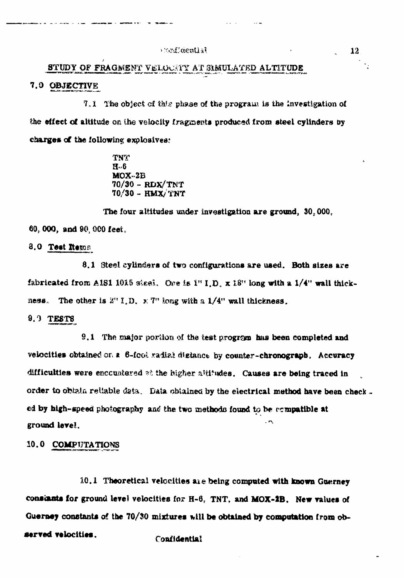#### Eidentlan

## STUDY OF FRAGMENT VELOCATY AT SIMULATED ALTITUDE

## 7.0 OBJECTIVE

7.1 The object of this phase of the program is the investigation of the effect of altitude on the velocity fragments produced from steel cylinders by charges of the following explosives:

> **TNT**  $H - 6$  $MOX-2B$  $70/30 - RDX/TNT$ 70/30 - HMX/TNT

The four altitudes under investigation are ground, 30,000. 60, 000, and 90, 000 feet.

#### 8.0 Test Rema

8.1 Steel cylinders of two configurations are used. Both sizes are fabricated from AIS1 1015 skeel. One is  $1''$  I.D. x  $18''$  long with a  $1/4''$  wall thickness. The other is  $2^n 1, D_1 \times 7^n$  long with a  $1/4^n$  wall thickness.

#### $9.9$  TESTS

9.1 The major portion of the test program has been completed and velocities obtained on a  $6$ -foot radial digtance by counter-chronograph. Accuracy difficulties were encountered at the higher altitudes. Causes are being traced in order to obtain reliable data. Data obtained by the electrical method have been checked by high-speed photography and the two methods found to be compatible at ground level.

#### 10.0 COMPUTATIONS

10.1 Theoretical velocities are being computed with known Guerney constants for ground level velocities for  $H-6$ , TNT, and MOX-2B. New values of Guerney constants of the 70/30 mixtures will be obtained by computation from observed velocities. **Confidential**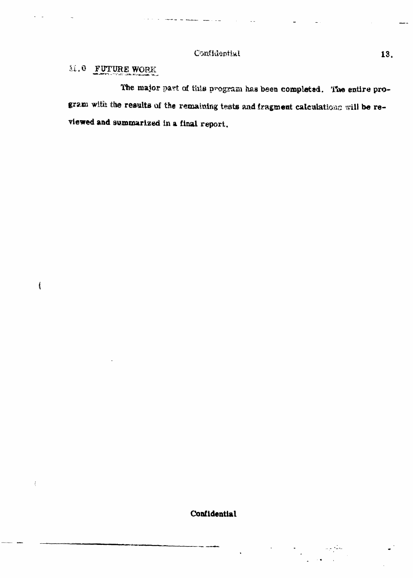## M.O FUTURE WORK

 $\overline{\mathcal{L}}$ 

 $\langle$ 

The major part of this program has been completed. The entire program with the results of the remaining tests and fragment calculations will be reviewed and summarized in a final report.

Confidential